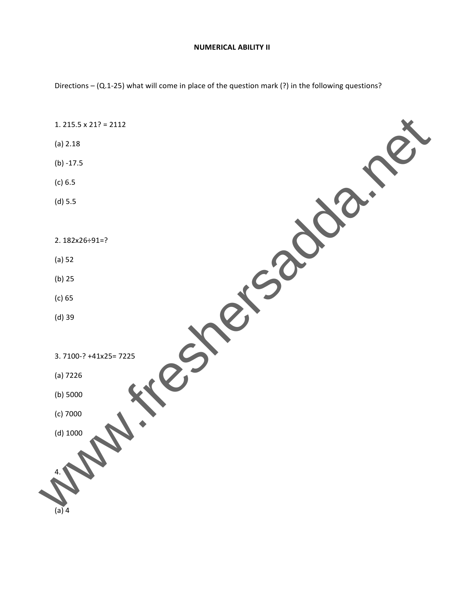## **NUMERICAL ABILITY II**

Directions – (Q.1‐25) what will come in place of the question mark (?) in the following questions?

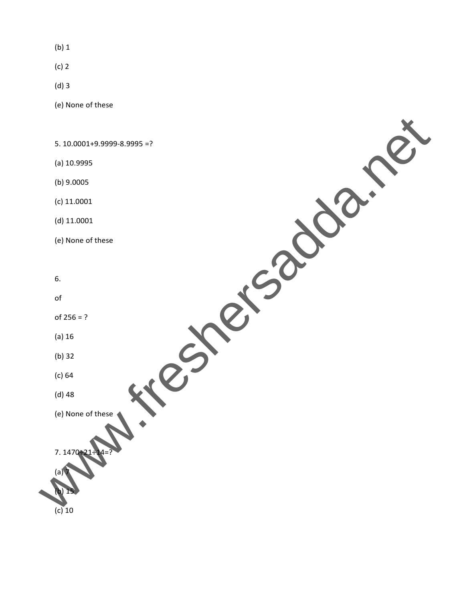(b) 1

(c) 2

(d) 3

(e) None of these

5. 10.0001+9.9999‐8.9995 =?

(a) 10.9995

(b) 9.0005

(c) 11.0001

(d) 11.0001

(e) None of these

6.

of

of  $256 = ?$ 

(a) 16

(b) 32

(c) 64

(d) 48

(e) None of these

7. 147

(a) 7

(b) 15

(e) None of these<br>
(e) None of these<br>
(e) None of these<br>
(e) None of these<br>
(e) None of these<br>
(e) None of these<br>
(e) None of these<br>
(e) None of these<br>
(e) None of these<br>
(e) None of these<br>  $\sum_{i=1}^{n}$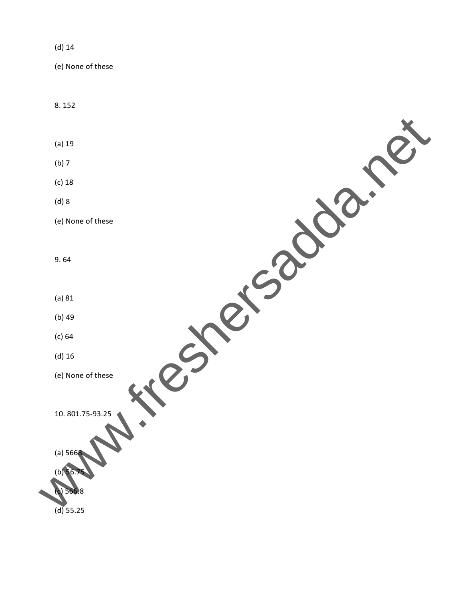## (d) 14

(e) None of these

8. 152

(a) 19

(b) 7

(c) 18

(d) 8

(e) None of these (a) HD (d) HD (a) HD (a) HD (a) HD (a) HD (a) HD (a) HD (a) HD (a) HD (a) HD (a) HD (a) HD (a) HD (a) HD (a) HD (a) HD (a) HD (a) HD (a) HD (a) HD (a) HD (a) HD (a) HD (a) HD (a) HD (a) HD (a) HD (a) HD (a) HD (a) HD (a) H

9. 64

(a) 81

(b) 49

(c) 64

(d) 16

(e) None of these

10. 801.75‐93.25

(a) 5668

 $(b)$  56.

(c) 566.8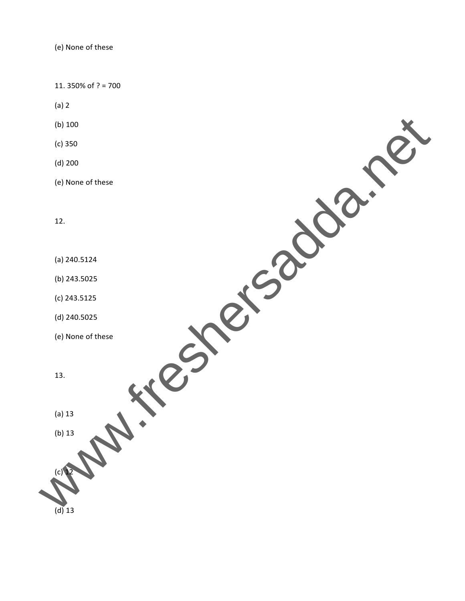11. 350% of ? = 700

(a) 2

(b) 100

(c) 350

(d) 200

(e) None of these **ONDIN FRESHERSADA.** 

12.

(a) 240.5124

(b) 243.5025

(c) 243.5125

(d) 240.5025

(e) None of these

13.

(a) 13

(b) 13

 $(c)$  12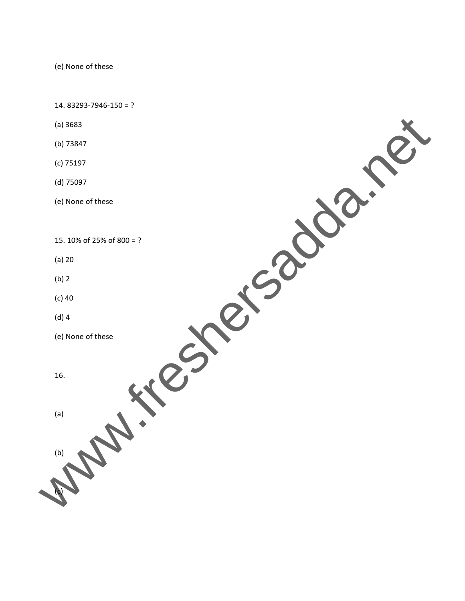14. 83293‐7946‐150 = ?

- (a) 3683
- (b) 73847
- (c) 75197
- (d) 75097
- (e) None of these

15. 10% of 25% of 800 = ?

(e) weresadda.net

- (a) 20
- (b) 2
- (c) 40
- (d) 4
- (e) None of these
- 16.

(a)

(b)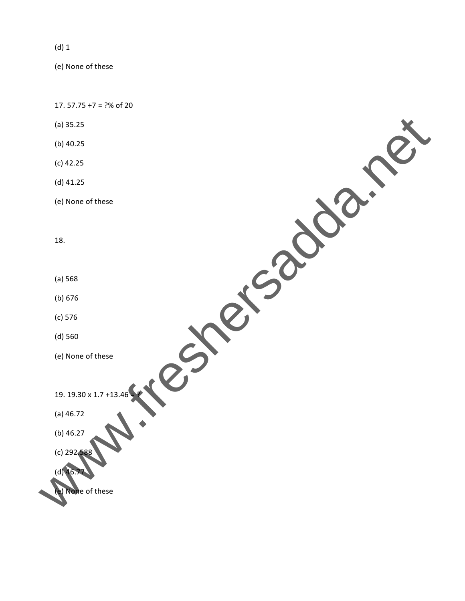(d) 1

(e) None of these

17. 57.75  $\div$ 7 = ?% of 20 (a) 35.25 (b) 40.25 (c) 42.25 (d) 41.25 (e) None of these 18. (a) 568 (b) 676 (c) 576 (d) 560 (e) None of these 19. 19.30 x 1.7 +13 (a) 46.72 (b) 46.27  $(c)$  292.58  $(d)$  46.7 Mone of these<br>
We of these<br>
None of these<br>
None of these<br>
None of these<br>
Academase<br>
Mone of these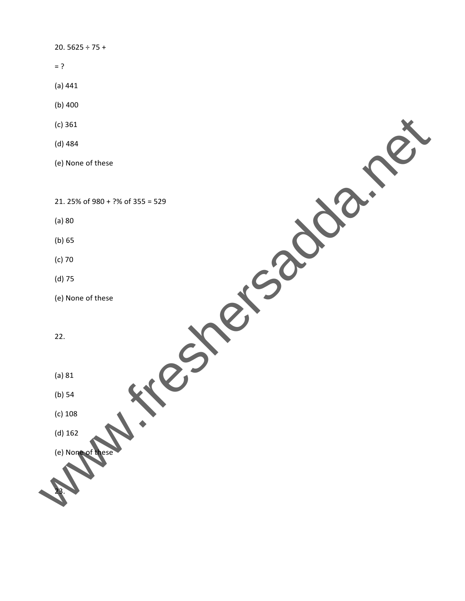## 20. 5625 ÷ 75 +

- $= ?$
- (a) 441
- (b) 400
- (c) 361
- (d) 484
- (e) None of these

21. 25% of 980 + ?% of 355 = 529

- (a) 80
- (b) 65
- (c) 70
- (d) 75
- (e) None of these
- 22.
- (a) 81
- (b) 54
- (c) 108
- 
- (d) 162
- (e) None
- EXAMPLE POSSES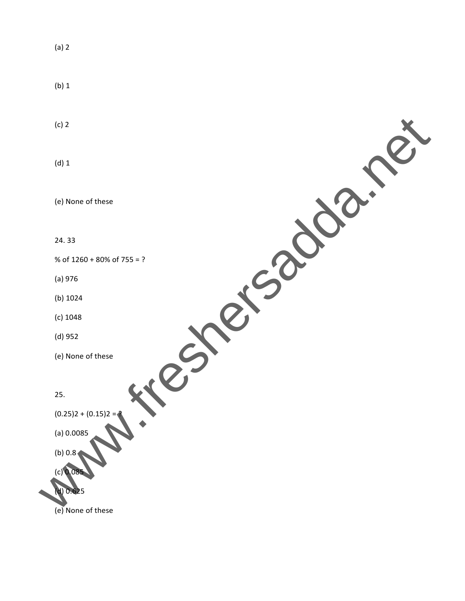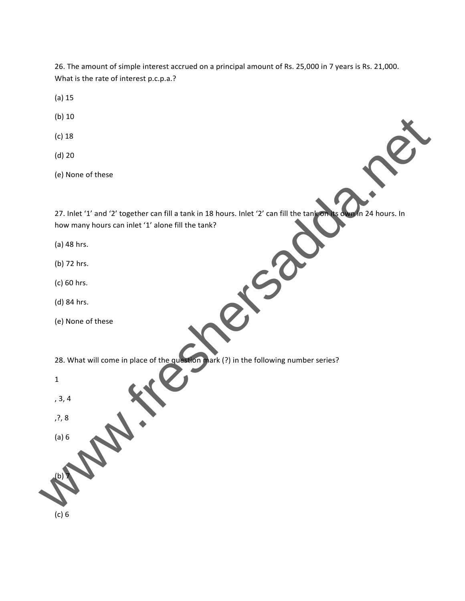26. The amount of simple interest accrued on a principal amount of Rs. 25,000 in 7 years is Rs. 21,000. What is the rate of interest p.c.p.a.?

- (a) 15
- (b) 10
- (c) 18
- (d) 20
- (e) None of these

27. Inlet '1' and '2' together can fill a tank in 18 hours. Inlet '2' can fill the tank on its own in 24 hours. In how many hours can inlet '1' alone fill the tank?

- (a) 48 hrs.
- (b) 72 hrs.
- (c) 60 hrs.
- (d) 84 hrs.
- (e) None of these

28. What will come in place of the question mark (?) in the following number series?

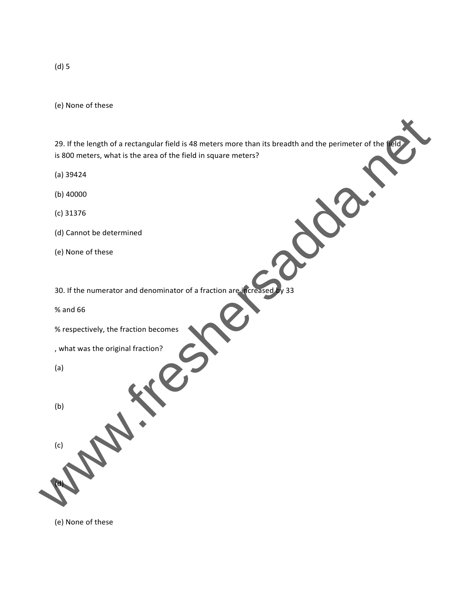29. If the length of a rectangular field is 48 meters more than its breadth and the perimeter of the field is 800 meters, what is the area of the field in square meters? 25. If the length of a rectangular field is 48 meters more than its breadth and the perimeter of the field in square meters?<br>
(b) 303424<br>
(c) 40000<br>
(c) 31376<br>
(d) 50000 field in square meters?<br>
(c) 40000<br>
(c) 31376<br>
(d) 5

- (a) 39424
- (b) 40000
- (c) 31376
- (d) Cannot be determined
- (e) None of these
- 30. If the numerator and denominator of a fraction are increased by 33

% and 66

% respectively, the fraction becomes

, what was the original fraction?

(a)

(b)

(c)

(d)

(e) None of these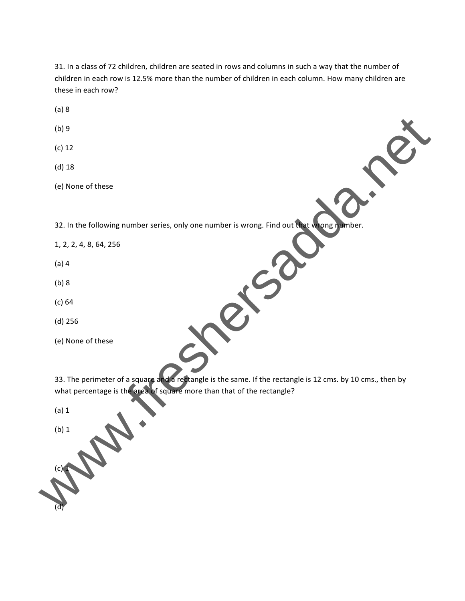31. In a class of 72 children, children are seated in rows and columns in such a way that the number of children in each row is 12.5% more than the number of children in each column. How many children are these in each row?

(a) 8

(b) 9

(c) 12

(d) 18

(e) None of these

32. In the following number series, only one number is wrong. Find out that wrong number.

1, 2, 2, 4, 8, 64, 256

(a) 4

(b) 8

(c) 64

(d) 256

(e) None of these

33. The perimeter of a square and a rectangle is the same. If the rectangle is 12 cms. by 10 cms., then by what percentage is the area of square more than that of the rectangle? (b) 9<br>
(d) 18<br>
(d) 18<br>
(e) None of these<br>
32. In the following number series, only one number is wrong. Find out the second<br>
1, 2, 2, 4, 8, 64, 256<br>
(b) 8<br>
(d) 18<br>
(d) 256<br>
(d) 256<br>
(d) 256<br>
(d) 256<br>
(d) 256<br>
(d) 256<br>
(d)

(a) 1

(b) 1

 $(c)$  1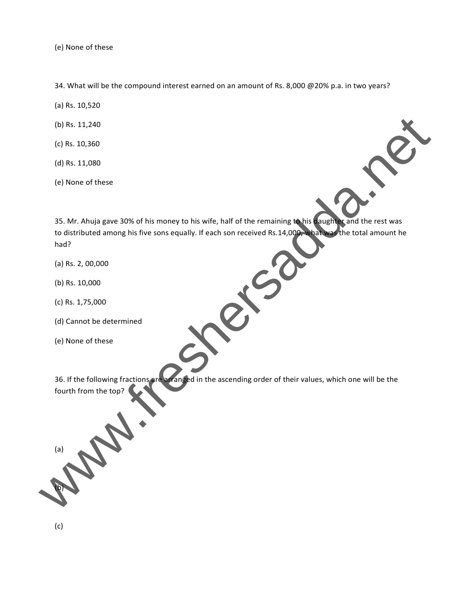34. What will be the compound interest earned on an amount of Rs. 8,000 @20% p.a. in two years?

- (a) Rs. 10,520
- (b) Rs. 11,240
- (c) Rs. 10,360
- (d) Rs. 11,080
- (e) None of these



35. Mr. Ahuja gave 30% of his money to his wife, half of the remaining to his daughter and the rest was to distributed among his five sons equally. If each son received Rs.14,000, what was the total amount he had? (c) Rs. 11,240<br>
(c) Rs. 11,080<br>
(d) Rs. 11,080<br>
(e) None of these<br>
35. Mr. Ahuja gave 30% of his money to his wife, half of the remaining **to** the first was<br>to distributed among his five sons equally. If each son received

- (a) Rs. 2, 00,000
- (b) Rs. 10,000
- (c) Rs. 1,75,000
- (d) Cannot be determined
- (e) None of these

36. If the following fractions are arranged in the ascending order of their values, which one will be the fourth from the top?

(a)

(b)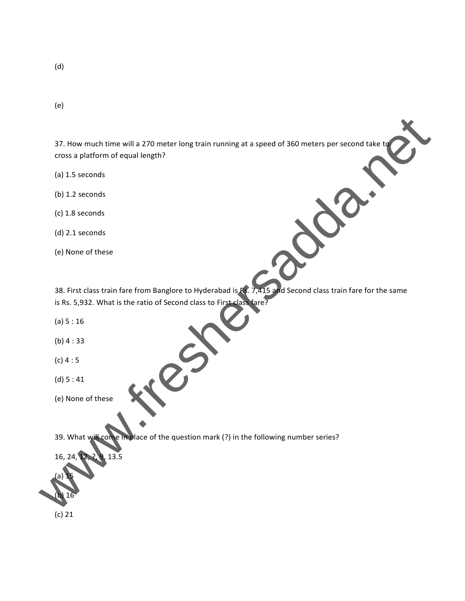(e)

37. How much time will a 270 meter long train running at a speed of 360 meters per second take to cross a platform of equal length?

- (a) 1.5 seconds
- (b) 1.2 seconds
- (c) 1.8 seconds
- (d) 2.1 seconds
- (e) None of these

38. First class train fare from Banglore to Hyderabad is Rs. 7,415 and Second class train fare for the same is Rs. 5,932. What is the ratio of Second class to First class fare? 37. How much time will a 270 meter long train running at a speed of 360 meters per second take to<br>cross a platform of equal length?<br>(b) 1.5 seconds<br>(c) 1.5 seconds<br>(c) 1.6 seconds<br>(c) 2.1 seconds<br>(c) 2.1 seconds<br>(c) 2.1 se

(a) 5 : 16

(b) 4 : 33

- (c) 4 : 5
- (d) 5 : 41
- (e) None of these

39. What will come in place of the question mark (?) in the following number series?

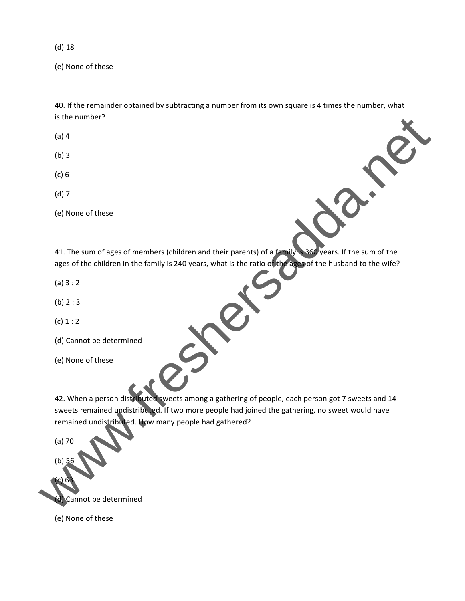(d) 18

(e) None of these

40. If the remainder obtained by subtracting a number from its own square is 4 times the number, what is the number?

(a) 4

- (b) 3
- (c) 6
- (d) 7
- (e) None of these

41. The sum of ages of members (children and their parents) of a family is 360 years. If the sum of the ages of the children in the family is 240 years, what is the ratio of the ages of the husband to the wife?

(a) 3 : 2

(b) 2 : 3

 $(c) 1 : 2$ 

- (d) Cannot be determined
- (e) None of these

42. When a person distributed sweets among a gathering of people, each person got 7 sweets and 14 sweets remained undistributed. If two more people had joined the gathering, no sweet would have remained undistributed. How many people had gathered? es the number?<br>
(a) 4<br>
(b) 3<br>
(c) None of these<br>
(d) 7<br>
(c) None of these<br>
41. The sum of ages of members (children and their parents) of a funger and strike sum of the ages of the children in the family is 240 years, whic

(a) 70

(b)

(c) 63

(d) Cannot be determined

(e) None of these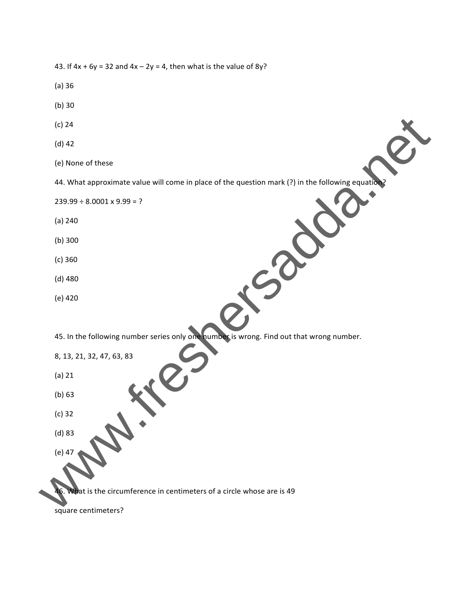| 43. If $4x + 6y = 32$ and $4x - 2y = 4$ , then what is the value of $8y$ ?                        |
|---------------------------------------------------------------------------------------------------|
| (a)36                                                                                             |
| (b)30                                                                                             |
| $(c)$ 24                                                                                          |
| $(d)$ 42                                                                                          |
| (e) None of these                                                                                 |
| 44. What approximate value will come in place of the question mark (?) in the following equation? |
| $239.99 \div 8.0001 \times 9.99 = ?$                                                              |
| (a) 240                                                                                           |
| $(b)$ 300                                                                                         |
| (c) 360                                                                                           |
| $(d)$ 480                                                                                         |
| (e) 420                                                                                           |
| 45. In the following number series only one humber is wrong. Find out that wrong number.          |
| 8, 13, 21, 32, 47, 63, 83                                                                         |
| $(a)$ 21                                                                                          |
| (b) 63                                                                                            |
| $(c)$ 32                                                                                          |
| $(d)$ 83                                                                                          |
| (e) 47                                                                                            |
| 46. What is the circumference in centimeters of a circle whose are is 49                          |
| square centimeters?                                                                               |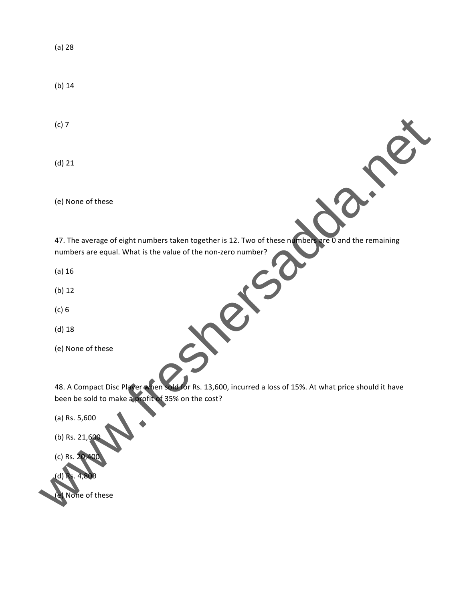(a) 28

(b) 14

(c) 7

(d) 21

(e) None of these

47. The average of eight numbers taken together is 12. Two of these numbers are 0 and the remaining numbers are equal. What is the value of the non‐zero number?

(a) 16

(b) 12

(c) 6

(d) 18

(e) None of these

48. A Compact Disc Player when sold for Rs. 13,600, incurred a loss of 15%. At what price should it have been be sold to make a profit of 35% on the cost? (e) 22<br>
(e) None of these<br>
47. The average of eight numbers taken together is 12. Two of these on **control of the remaining**<br>
mumbers are equal. What is the value of the non-zero number?<br>
(e) 12<br>
(e) 13<br>
(e) 13<br>
(e) 13<br>
(e

(a) Rs. 5,600

(b) Rs. 21,60

(c) Rs. 20,400

(d) Rs. 4,800